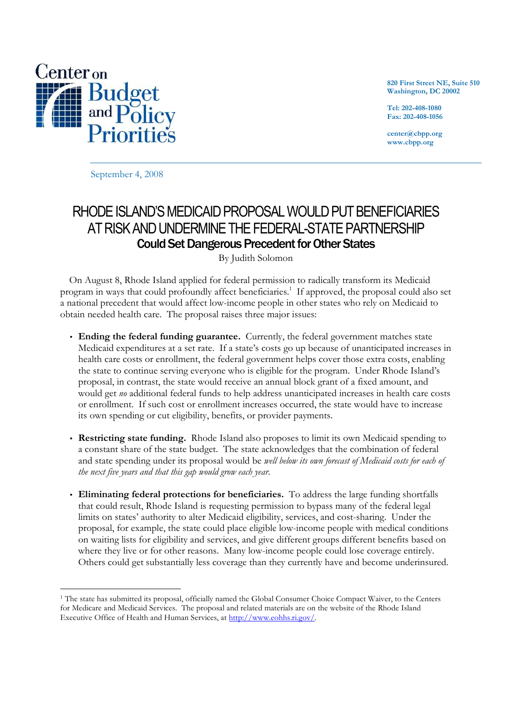

**820 First Street NE, Suite 510 Washington, DC 20002** 

**Tel: 202-408-1080 Fax: 202-408-1056** 

**center@cbpp.org www.cbpp.org** 

September 4, 2008

# RHODE ISLAND'S MEDICAID PROPOSAL WOULD PUT BENEFICIARIES AT RISK AND UNDERMINE THE FEDERAL-STATE PARTNERSHIP Could Set Dangerous Precedent for Other States

By Judith Solomon

 On August 8, Rhode Island applied for federal permission to radically transform its Medicaid program in ways that could profoundly affect beneficiaries.<sup>1</sup> If approved, the proposal could also set a national precedent that would affect low-income people in other states who rely on Medicaid to obtain needed health care. The proposal raises three major issues:

- **Ending the federal funding guarantee.** Currently, the federal government matches state Medicaid expenditures at a set rate. If a state's costs go up because of unanticipated increases in health care costs or enrollment, the federal government helps cover those extra costs, enabling the state to continue serving everyone who is eligible for the program. Under Rhode Island's proposal, in contrast, the state would receive an annual block grant of a fixed amount, and would get *no* additional federal funds to help address unanticipated increases in health care costs or enrollment. If such cost or enrollment increases occurred, the state would have to increase its own spending or cut eligibility, benefits, or provider payments.
- **Restricting state funding.** Rhode Island also proposes to limit its own Medicaid spending to a constant share of the state budget. The state acknowledges that the combination of federal and state spending under its proposal would be *well below its own forecast of Medicaid costs for each of the next five years and that this gap would grow each year*.
- **Eliminating federal protections for beneficiaries.** To address the large funding shortfalls that could result, Rhode Island is requesting permission to bypass many of the federal legal limits on states' authority to alter Medicaid eligibility, services, and cost-sharing. Under the proposal, for example, the state could place eligible low-income people with medical conditions on waiting lists for eligibility and services, and give different groups different benefits based on where they live or for other reasons. Many low-income people could lose coverage entirely. Others could get substantially less coverage than they currently have and become underinsured.

<sup>-</sup><sup>1</sup> The state has submitted its proposal, officially named the Global Consumer Choice Compact Waiver, to the Centers for Medicare and Medicaid Services. The proposal and related materials are on the website of the Rhode Island Executive Office of Health and Human Services, at http://www.eohhs.ri.gov/.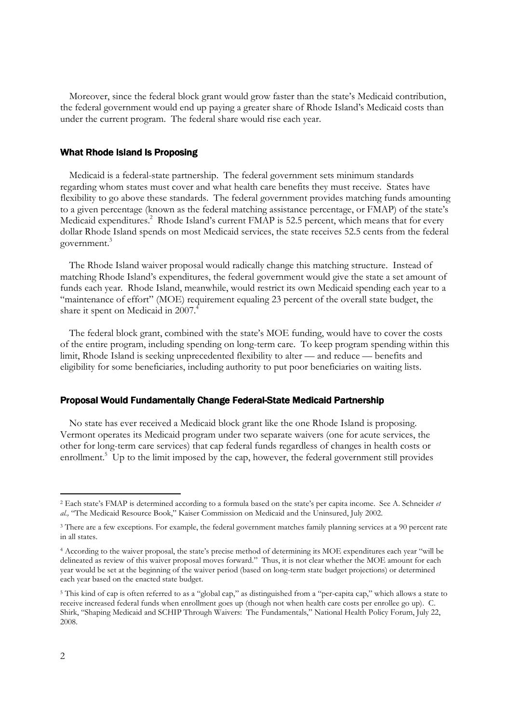Moreover, since the federal block grant would grow faster than the state's Medicaid contribution, the federal government would end up paying a greater share of Rhode Island's Medicaid costs than under the current program. The federal share would rise each year.

#### What Rhode Island Is Proposing

Medicaid is a federal-state partnership. The federal government sets minimum standards regarding whom states must cover and what health care benefits they must receive. States have flexibility to go above these standards. The federal government provides matching funds amounting to a given percentage (known as the federal matching assistance percentage, or FMAP) of the state's Medicaid expenditures.<sup>2</sup> Rhode Island's current FMAP is 52.5 percent, which means that for every dollar Rhode Island spends on most Medicaid services, the state receives 52.5 cents from the federal government.<sup>3</sup>

The Rhode Island waiver proposal would radically change this matching structure. Instead of matching Rhode Island's expenditures, the federal government would give the state a set amount of funds each year. Rhode Island, meanwhile, would restrict its own Medicaid spending each year to a "maintenance of effort" (MOE) requirement equaling 23 percent of the overall state budget, the share it spent on Medicaid in 2007.<sup>4</sup>

The federal block grant, combined with the state's MOE funding, would have to cover the costs of the entire program, including spending on long-term care. To keep program spending within this limit, Rhode Island is seeking unprecedented flexibility to alter — and reduce — benefits and eligibility for some beneficiaries, including authority to put poor beneficiaries on waiting lists.

## Proposal Would Fundamentally Change Federal-State Medicaid Partnership

No state has ever received a Medicaid block grant like the one Rhode Island is proposing. Vermont operates its Medicaid program under two separate waivers (one for acute services, the other for long-term care services) that cap federal funds regardless of changes in health costs or enrollment.<sup>5</sup> Up to the limit imposed by the cap, however, the federal government still provides

-

<sup>2</sup> Each state's FMAP is determined according to a formula based on the state's per capita income. See A. Schneider *et al.,* "The Medicaid Resource Book," Kaiser Commission on Medicaid and the Uninsured, July 2002.

<sup>&</sup>lt;sup>3</sup> There are a few exceptions. For example, the federal government matches family planning services at a 90 percent rate in all states.

<sup>4</sup> According to the waiver proposal, the state's precise method of determining its MOE expenditures each year "will be delineated as review of this waiver proposal moves forward." Thus, it is not clear whether the MOE amount for each year would be set at the beginning of the waiver period (based on long-term state budget projections) or determined each year based on the enacted state budget.

<sup>&</sup>lt;sup>5</sup> This kind of cap is often referred to as a "global cap," as distinguished from a "per-capita cap," which allows a state to receive increased federal funds when enrollment goes up (though not when health care costs per enrollee go up). C. Shirk, "Shaping Medicaid and SCHIP Through Waivers: The Fundamentals," National Health Policy Forum, July 22, 2008.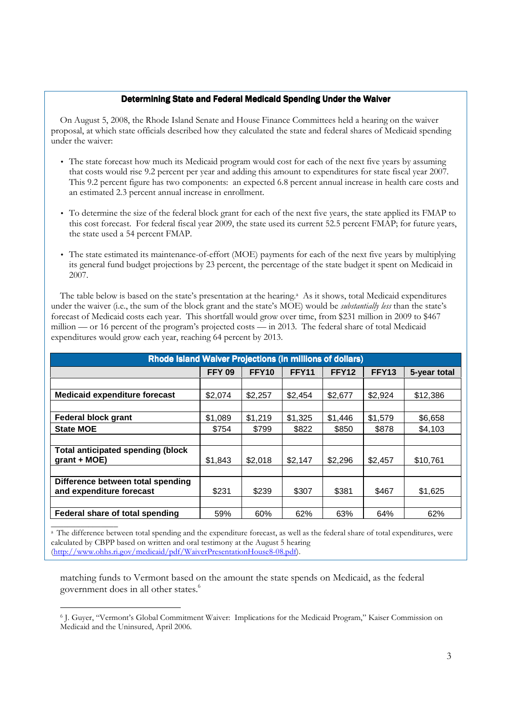## Determining State and Federal Medicaid Spending Under the Waiver

On August 5, 2008, the Rhode Island Senate and House Finance Committees held a hearing on the waiver proposal, at which state officials described how they calculated the state and federal shares of Medicaid spending under the waiver:

- The state forecast how much its Medicaid program would cost for each of the next five years by assuming that costs would rise 9.2 percent per year and adding this amount to expenditures for state fiscal year 2007. This 9.2 percent figure has two components: an expected 6.8 percent annual increase in health care costs and an estimated 2.3 percent annual increase in enrollment.
- To determine the size of the federal block grant for each of the next five years, the state applied its FMAP to this cost forecast. For federal fiscal year 2009, the state used its current 52.5 percent FMAP; for future years, the state used a 54 percent FMAP.
- The state estimated its maintenance-of-effort (MOE) payments for each of the next five years by multiplying its general fund budget projections by 23 percent, the percentage of the state budget it spent on Medicaid in 2007.

The table below is based on the state's presentation at the hearing.<sup>a</sup> As it shows, total Medicaid expenditures under the waiver (i.e., the sum of the block grant and the state's MOE) would be *substantially less* than the state's forecast of Medicaid costs each year. This shortfall would grow over time, from \$231 million in 2009 to \$467 million — or 16 percent of the program's projected costs — in 2013. The federal share of total Medicaid expenditures would grow each year, reaching 64 percent by 2013.

| <b>Rhode Island Waiver Projections (in millions of dollars)</b> |               |              |              |              |              |              |  |
|-----------------------------------------------------------------|---------------|--------------|--------------|--------------|--------------|--------------|--|
|                                                                 | <b>FFY 09</b> | <b>FFY10</b> | <b>FFY11</b> | <b>FFY12</b> | <b>FFY13</b> | 5-year total |  |
|                                                                 |               |              |              |              |              |              |  |
| <b>Medicaid expenditure forecast</b>                            | \$2,074       | \$2,257      | \$2,454      | \$2,677      | \$2,924      | \$12,386     |  |
|                                                                 |               |              |              |              |              |              |  |
| <b>Federal block grant</b>                                      | \$1,089       | \$1,219      | \$1,325      | \$1,446      | \$1,579      | \$6,658      |  |
| <b>State MOE</b>                                                | \$754         | \$799        | \$822        | \$850        | \$878        | \$4,103      |  |
|                                                                 |               |              |              |              |              |              |  |
| <b>Total anticipated spending (block</b><br>$grant + MOE)$      | \$1,843       | \$2,018      | \$2,147      | \$2,296      | \$2,457      | \$10,761     |  |
|                                                                 |               |              |              |              |              |              |  |
| Difference between total spending<br>and expenditure forecast   | \$231         | \$239        | \$307        | \$381        | \$467        | \$1,625      |  |
|                                                                 |               |              |              |              |              |              |  |
| Federal share of total spending                                 | 59%           | 60%          | 62%          | 63%          | 64%          | 62%          |  |

 $\overline{\phantom{a}}$  , where  $\overline{\phantom{a}}$ <sup>a</sup> The difference between total spending and the expenditure forecast, as well as the federal share of total expenditures, were calculated by CBPP based on written and oral testimony at the August 5 hearing (http://www.ohhs.ri.gov/medicaid/pdf/WaiverPresentationHouse8-08.pdf).

matching funds to Vermont based on the amount the state spends on Medicaid, as the federal government does in all other states.<sup>6</sup>

<sup>-</sup>6 J. Guyer, "Vermont's Global Commitment Waiver: Implications for the Medicaid Program," Kaiser Commission on Medicaid and the Uninsured, April 2006.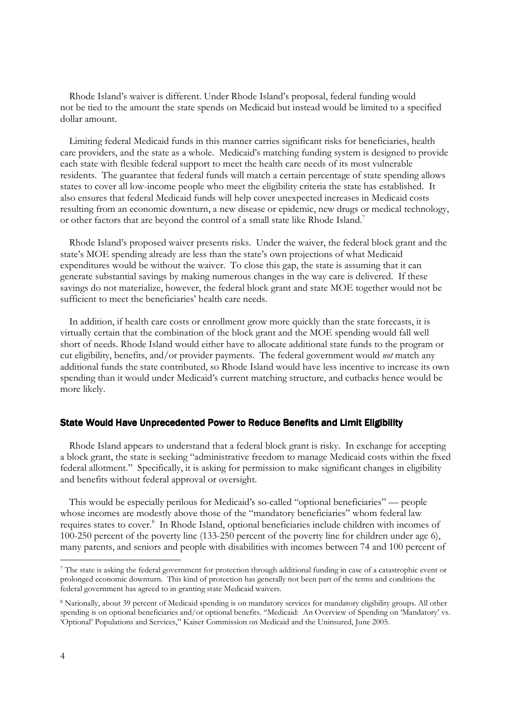Rhode Island's waiver is different. Under Rhode Island's proposal, federal funding would not be tied to the amount the state spends on Medicaid but instead would be limited to a specified dollar amount.

Limiting federal Medicaid funds in this manner carries significant risks for beneficiaries, health care providers, and the state as a whole. Medicaid's matching funding system is designed to provide each state with flexible federal support to meet the health care needs of its most vulnerable residents. The guarantee that federal funds will match a certain percentage of state spending allows states to cover all low-income people who meet the eligibility criteria the state has established. It also ensures that federal Medicaid funds will help cover unexpected increases in Medicaid costs resulting from an economic downturn, a new disease or epidemic, new drugs or medical technology, or other factors that are beyond the control of a small state like Rhode Island.<sup>7</sup>

Rhode Island's proposed waiver presents risks. Under the waiver, the federal block grant and the state's MOE spending already are less than the state's own projections of what Medicaid expenditures would be without the waiver. To close this gap, the state is assuming that it can generate substantial savings by making numerous changes in the way care is delivered. If these savings do not materialize, however, the federal block grant and state MOE together would not be sufficient to meet the beneficiaries' health care needs.

In addition, if health care costs or enrollment grow more quickly than the state forecasts, it is virtually certain that the combination of the block grant and the MOE spending would fall well short of needs. Rhode Island would either have to allocate additional state funds to the program or cut eligibility, benefits, and/or provider payments. The federal government would *not* match any additional funds the state contributed, so Rhode Island would have less incentive to increase its own spending than it would under Medicaid's current matching structure, and cutbacks hence would be more likely.

#### State Would Have Unprecedented Power to Reduce Benefits and Limit Eligibility

Rhode Island appears to understand that a federal block grant is risky. In exchange for accepting a block grant, the state is seeking "administrative freedom to manage Medicaid costs within the fixed federal allotment." Specifically, it is asking for permission to make significant changes in eligibility and benefits without federal approval or oversight.

This would be especially perilous for Medicaid's so-called "optional beneficiaries" — people whose incomes are modestly above those of the "mandatory beneficiaries" whom federal law requires states to cover.<sup>8</sup> In Rhode Island, optional beneficiaries include children with incomes of 100-250 percent of the poverty line (133-250 percent of the poverty line for children under age 6), many parents, and seniors and people with disabilities with incomes between 74 and 100 percent of

-

<sup>7</sup> The state is asking the federal government for protection through additional funding in case of a catastrophic event or prolonged economic downturn. This kind of protection has generally not been part of the terms and conditions the federal government has agreed to in granting state Medicaid waivers.

<sup>8</sup> Nationally, about 39 percent of Medicaid spending is on mandatory services for mandatory eligibility groups. All other spending is on optional beneficiaries and/or optional benefits. "Medicaid: An Overview of Spending on 'Mandatory' vs. 'Optional' Populations and Services," Kaiser Commission on Medicaid and the Uninsured, June 2005.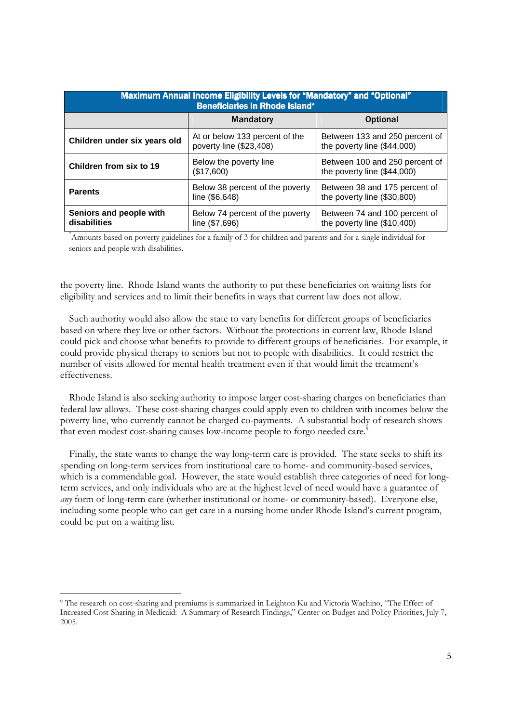| Maximum Annual Income Eligibility Levels for "Mandatory" and "Optional"<br><b>Beneficiaries in Rhode Island*</b> |                                                           |                                                               |  |  |  |  |
|------------------------------------------------------------------------------------------------------------------|-----------------------------------------------------------|---------------------------------------------------------------|--|--|--|--|
|                                                                                                                  | <b>Mandatory</b>                                          | <b>Optional</b>                                               |  |  |  |  |
| Children under six years old                                                                                     | At or below 133 percent of the<br>poverty line (\$23,408) | Between 133 and 250 percent of<br>the poverty line (\$44,000) |  |  |  |  |
| Children from six to 19                                                                                          | Below the poverty line<br>(\$17,600)                      | Between 100 and 250 percent of<br>the poverty line (\$44,000) |  |  |  |  |
| <b>Parents</b>                                                                                                   | Below 38 percent of the poverty<br>line (\$6,648)         | Between 38 and 175 percent of<br>the poverty line (\$30,800)  |  |  |  |  |
| Seniors and people with<br>disabilities                                                                          | Below 74 percent of the poverty<br>line (\$7,696)         | Between 74 and 100 percent of<br>the poverty line (\$10,400)  |  |  |  |  |

\*Amounts based on poverty guidelines for a family of 3 for children and parents and for a single individual for seniors and people with disabilities.

the poverty line. Rhode Island wants the authority to put these beneficiaries on waiting lists for eligibility and services and to limit their benefits in ways that current law does not allow.

 Such authority would also allow the state to vary benefits for different groups of beneficiaries based on where they live or other factors. Without the protections in current law, Rhode Island could pick and choose what benefits to provide to different groups of beneficiaries. For example, it could provide physical therapy to seniors but not to people with disabilities. It could restrict the number of visits allowed for mental health treatment even if that would limit the treatment's effectiveness.

 Rhode Island is also seeking authority to impose larger cost-sharing charges on beneficiaries than federal law allows. These cost-sharing charges could apply even to children with incomes below the poverty line, who currently cannot be charged co-payments. A substantial body of research shows that even modest cost-sharing causes low-income people to forgo needed care.<sup>9</sup>

 Finally, the state wants to change the way long-term care is provided. The state seeks to shift its spending on long-term services from institutional care to home- and community-based services, which is a commendable goal. However, the state would establish three categories of need for longterm services, and only individuals who are at the highest level of need would have a guarantee of *any* form of long-term care (whether institutional or home- or community-based). Everyone else, including some people who can get care in a nursing home under Rhode Island's current program, could be put on a waiting list.

-

<sup>9</sup> The research on cost-sharing and premiums is summarized in Leighton Ku and Victoria Wachino, "The Effect of Increased Cost-Sharing in Medicaid: A Summary of Research Findings," Center on Budget and Policy Priorities, July 7, 2005.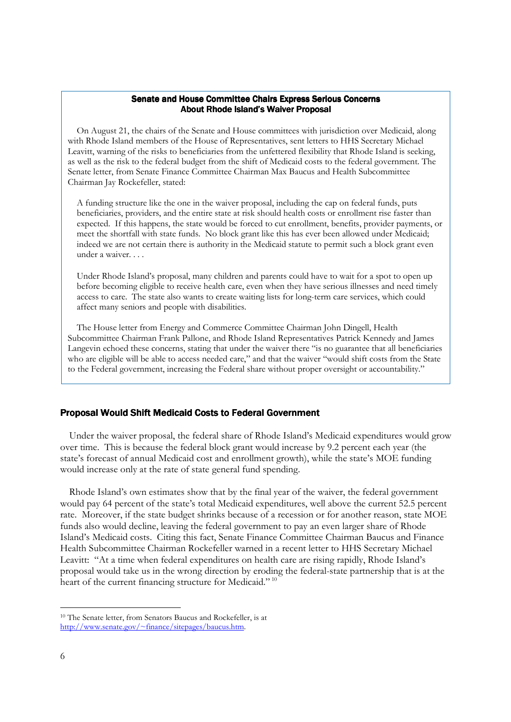#### Senate and House Committee Chairs Express Serious Concerns About Rhode Island's Waiver Proposal

On August 21, the chairs of the Senate and House committees with jurisdiction over Medicaid, along with Rhode Island members of the House of Representatives, sent letters to HHS Secretary Michael Leavitt, warning of the risks to beneficiaries from the unfettered flexibility that Rhode Island is seeking, as well as the risk to the federal budget from the shift of Medicaid costs to the federal government. The Senate letter, from Senate Finance Committee Chairman Max Baucus and Health Subcommittee Chairman Jay Rockefeller, stated:

A funding structure like the one in the waiver proposal, including the cap on federal funds, puts beneficiaries, providers, and the entire state at risk should health costs or enrollment rise faster than expected. If this happens, the state would be forced to cut enrollment, benefits, provider payments, or meet the shortfall with state funds. No block grant like this has ever been allowed under Medicaid; indeed we are not certain there is authority in the Medicaid statute to permit such a block grant even under a waiver. . . .

Under Rhode Island's proposal, many children and parents could have to wait for a spot to open up before becoming eligible to receive health care, even when they have serious illnesses and need timely access to care. The state also wants to create waiting lists for long-term care services, which could affect many seniors and people with disabilities.

The House letter from Energy and Commerce Committee Chairman John Dingell, Health Subcommittee Chairman Frank Pallone, and Rhode Island Representatives Patrick Kennedy and James Langevin echoed these concerns, stating that under the waiver there "is no guarantee that all beneficiaries who are eligible will be able to access needed care," and that the waiver "would shift costs from the State to the Federal government, increasing the Federal share without proper oversight or accountability."

## Proposal Would Shift Medicaid Costs to Federal Government

 Under the waiver proposal, the federal share of Rhode Island's Medicaid expenditures would grow over time. This is because the federal block grant would increase by 9.2 percent each year (the state's forecast of annual Medicaid cost and enrollment growth), while the state's MOE funding would increase only at the rate of state general fund spending.

Rhode Island's own estimates show that by the final year of the waiver, the federal government would pay 64 percent of the state's total Medicaid expenditures, well above the current 52.5 percent rate. Moreover, if the state budget shrinks because of a recession or for another reason, state MOE funds also would decline, leaving the federal government to pay an even larger share of Rhode Island's Medicaid costs. Citing this fact, Senate Finance Committee Chairman Baucus and Finance Health Subcommittee Chairman Rockefeller warned in a recent letter to HHS Secretary Michael Leavitt: "At a time when federal expenditures on health care are rising rapidly, Rhode Island's proposal would take us in the wrong direction by eroding the federal-state partnership that is at the heart of the current financing structure for Medicaid."<sup>10</sup>

<sup>-</sup><sup>10</sup> The Senate letter, from Senators Baucus and Rockefeller, is at http://www.senate.gov/~finance/sitepages/baucus.htm.